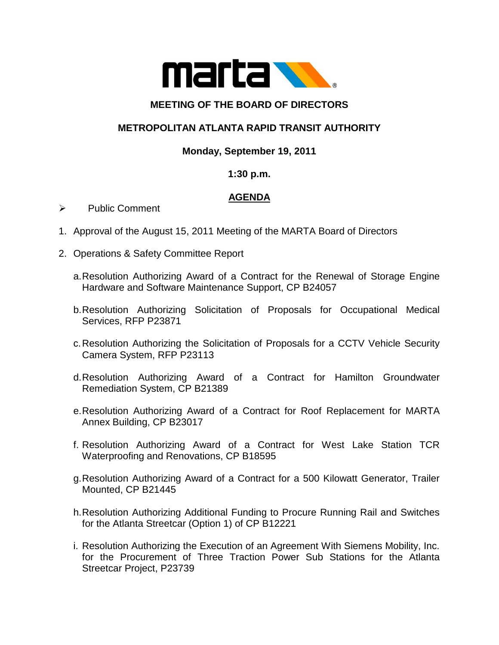

# **MEETING OF THE BOARD OF DIRECTORS**

# **METROPOLITAN ATLANTA RAPID TRANSIT AUTHORITY**

# **Monday, September 19, 2011**

# **1:30 p.m.**

# **AGENDA**

- $\triangleright$  Public Comment
- 1. Approval of the August 15, 2011 Meeting of the MARTA Board of Directors
- 2. Operations & Safety Committee Report
	- a.Resolution Authorizing Award of a Contract for the Renewal of Storage Engine Hardware and Software Maintenance Support, CP B24057
	- b.Resolution Authorizing Solicitation of Proposals for Occupational Medical Services, RFP P23871
	- c.Resolution Authorizing the Solicitation of Proposals for a CCTV Vehicle Security Camera System, RFP P23113
	- d.Resolution Authorizing Award of a Contract for Hamilton Groundwater Remediation System, CP B21389
	- e.Resolution Authorizing Award of a Contract for Roof Replacement for MARTA Annex Building, CP B23017
	- f. Resolution Authorizing Award of a Contract for West Lake Station TCR Waterproofing and Renovations, CP B18595
	- g.Resolution Authorizing Award of a Contract for a 500 Kilowatt Generator, Trailer Mounted, CP B21445
	- h.Resolution Authorizing Additional Funding to Procure Running Rail and Switches for the Atlanta Streetcar (Option 1) of CP B12221
	- i. Resolution Authorizing the Execution of an Agreement With Siemens Mobility, Inc. for the Procurement of Three Traction Power Sub Stations for the Atlanta Streetcar Project, P23739